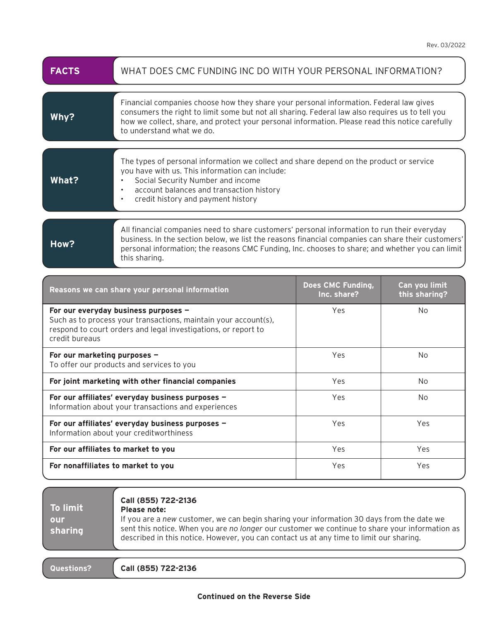| <b>FACTS</b> | WHAT DOES CMC FUNDING INC DO WITH YOUR PERSONAL INFORMATION?                                                                                                                                                                                                                                                              |
|--------------|---------------------------------------------------------------------------------------------------------------------------------------------------------------------------------------------------------------------------------------------------------------------------------------------------------------------------|
| Why?         | Financial companies choose how they share your personal information. Federal law gives<br>consumers the right to limit some but not all sharing. Federal law also requires us to tell you<br>how we collect, share, and protect your personal information. Please read this notice carefully<br>to understand what we do. |
| What?        | The types of personal information we collect and share depend on the product or service<br>you have with us. This information can include:<br>Social Security Number and income<br>account balances and transaction history<br>credit history and payment history<br>$\bullet$                                            |
| How?         | All financial companies need to share customers' personal information to run their everyday<br>business. In the section below, we list the reasons financial companies can share their customers'<br>areanal information: the researce CMC Eurolian Ing. sheecase to shore; and urbether usuan and limit                  |

personal information; the reasons CMC Funding, Inc. chooses to share; and whether you can limit

| Reasons we can share your personal information                                                                                                                                              | Does CMC Funding,<br>Inc. share? | Can you limit<br>this sharing? |  |
|---------------------------------------------------------------------------------------------------------------------------------------------------------------------------------------------|----------------------------------|--------------------------------|--|
| For our everyday business purposes -<br>Such as to process your transactions, maintain your account(s),<br>respond to court orders and legal investigations, or report to<br>credit bureaus | Yes                              | No.                            |  |
| For our marketing purposes $-$<br>To offer our products and services to you                                                                                                                 | Yes                              | No.                            |  |
| For joint marketing with other financial companies                                                                                                                                          | Yes                              | No.                            |  |
| For our affiliates' everyday business purposes -<br>Information about your transactions and experiences                                                                                     | Yes                              | No.                            |  |
| For our affiliates' everyday business purposes -<br>Information about your creditworthiness                                                                                                 | Yes                              | Yes                            |  |
| For our affiliates to market to you                                                                                                                                                         | Yes                              | Yes                            |  |
| For nonaffiliates to market to you                                                                                                                                                          | Yes                              | Yes                            |  |

**To limit our sharing**

## **Call (855) 722-2136**

## **Please note:**

this sharing.

If you are a *new* customer, we can begin sharing your information 30 days from the date we sent this notice. When you are *no longer* our customer we continue to share your information as described in this notice. However, you can contact us at any time to limit our sharing.

**Questions? Call (855) 722-2136**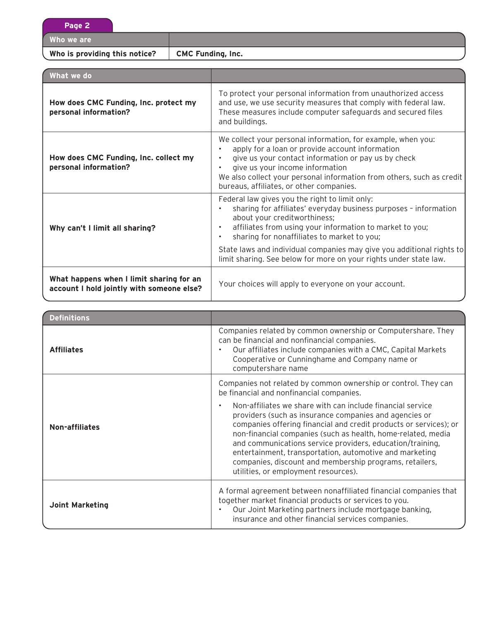**Page 2**

**Who we are**

**Who is providing this notice? CMC Funding, Inc.**

| What we do                                                                            |                                                                                                                                                                                                                                                                                                                                                                                                                                       |
|---------------------------------------------------------------------------------------|---------------------------------------------------------------------------------------------------------------------------------------------------------------------------------------------------------------------------------------------------------------------------------------------------------------------------------------------------------------------------------------------------------------------------------------|
| How does CMC Funding, Inc. protect my<br>personal information?                        | To protect your personal information from unauthorized access<br>and use, we use security measures that comply with federal law.<br>These measures include computer safeguards and secured files<br>and buildings.                                                                                                                                                                                                                    |
| How does CMC Funding, Inc. collect my<br>personal information?                        | We collect your personal information, for example, when you:<br>apply for a loan or provide account information<br>give us your contact information or pay us by check<br>give us your income information<br>We also collect your personal information from others, such as credit<br>bureaus, affiliates, or other companies.                                                                                                        |
| Why can't I limit all sharing?                                                        | Federal law gives you the right to limit only:<br>sharing for affiliates' everyday business purposes - information<br>about your creditworthiness;<br>affiliates from using your information to market to you;<br>$\bullet$<br>sharing for nonaffiliates to market to you;<br>$\bullet$<br>State laws and individual companies may give you additional rights to<br>limit sharing. See below for more on your rights under state law. |
| What happens when I limit sharing for an<br>account I hold jointly with someone else? | Your choices will apply to everyone on your account.                                                                                                                                                                                                                                                                                                                                                                                  |

| <b>Definitions</b>     |                                                                                                                                                                                                                                                                                                                                                                                                                                                                                                   |
|------------------------|---------------------------------------------------------------------------------------------------------------------------------------------------------------------------------------------------------------------------------------------------------------------------------------------------------------------------------------------------------------------------------------------------------------------------------------------------------------------------------------------------|
| <b>Affiliates</b>      | Companies related by common ownership or Computershare. They<br>can be financial and nonfinancial companies.<br>Our affiliates include companies with a CMC, Capital Markets<br>٠<br>Cooperative or Cunninghame and Company name or<br>computershare name                                                                                                                                                                                                                                         |
|                        | Companies not related by common ownership or control. They can<br>be financial and nonfinancial companies.                                                                                                                                                                                                                                                                                                                                                                                        |
| Non-affiliates         | Non-affiliates we share with can include financial service<br>$\bullet$<br>providers (such as insurance companies and agencies or<br>companies offering financial and credit products or services); or<br>non-financial companies (such as health, home-related, media<br>and communications service providers, education/training,<br>entertainment, transportation, automotive and marketing<br>companies, discount and membership programs, retailers,<br>utilities, or employment resources). |
| <b>Joint Marketing</b> | A formal agreement between nonaffiliated financial companies that<br>together market financial products or services to you.<br>Our Joint Marketing partners include mortgage banking,<br>$\bullet$<br>insurance and other financial services companies.                                                                                                                                                                                                                                           |